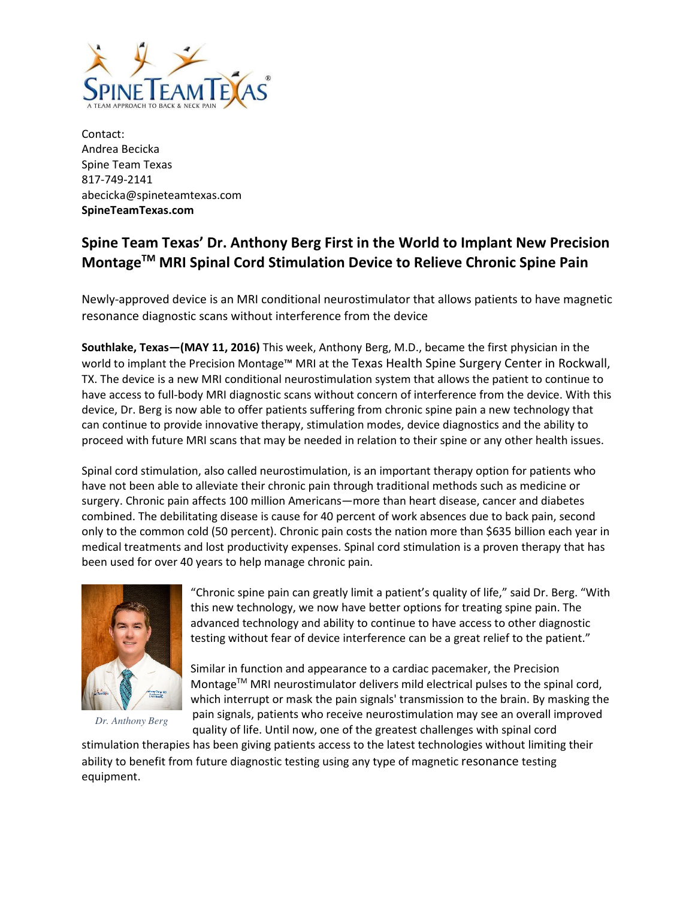

Contact: Andrea Becicka Spine Team Texas 817-749-2141 abecicka@spineteamtexas.com SpineTeamTexas.com

## Spine Team Texas' Dr. Anthony Berg First in the World to Implant New Precision Montage™ MRI Spinal Cord Stimulation Device to Relieve Chronic Spine Pain

Newly-approved device is an MRI conditional neurostimulator that allows patients to have magnetic resonance diagnostic scans without interference from the device

Southlake, Texas—(MAY 11, 2016) This week, Anthony Berg, M.D., became the first physician in the world to implant the Precision Montage™ MRI at the Texas Health Spine Surgery Center in Rockwall, TX. The device is a new MRI conditional neurostimulation system that allows the patient to continue to have access to full-body MRI diagnostic scans without concern of interference from the device. With this device, Dr. Berg is now able to offer patients suffering from chronic spine pain a new technology that can continue to provide innovative therapy, stimulation modes, device diagnostics and the ability to proceed with future MRI scans that may be needed in relation to their spine or any other health issues.

Spinal cord stimulation, also called neurostimulation, is an important therapy option for patients who have not been able to alleviate their chronic pain through traditional methods such as medicine or surgery. Chronic pain affects 100 million Americans—more than heart disease, cancer and diabetes combined. The debilitating disease is cause for 40 percent of work absences due to back pain, second only to the common cold (50 percent). Chronic pain costs the nation more than \$635 billion each year in medical treatments and lost productivity expenses. Spinal cord stimulation is a proven therapy that has been used for over 40 years to help manage chronic pain.



*Dr. Anthony Berg*

"Chronic spine pain can greatly limit a patient's quality of life," said Dr. Berg. "With this new technology, we now have better options for treating spine pain. The advanced technology and ability to continue to have access to other diagnostic testing without fear of device interference can be a great relief to the patient."

Similar in function and appearance to a cardiac pacemaker, the Precision Montage™ MRI neurostimulator delivers mild electrical pulses to the spinal cord, which interrupt or mask the pain signals' transmission to the brain. By masking the pain signals, patients who receive neurostimulation may see an overall improved quality of life. Until now, one of the greatest challenges with spinal cord

stimulation therapies has been giving patients access to the latest technologies without limiting their ability to benefit from future diagnostic testing using any type of magnetic resonance testing equipment.